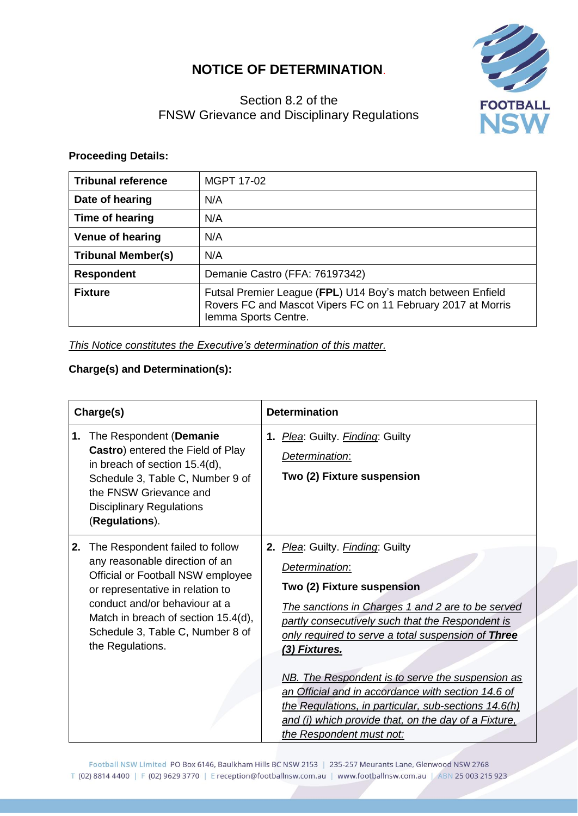## **NOTICE OF DETERMINATION**.



## Section 8.2 of the FNSW Grievance and Disciplinary Regulations

## **Proceeding Details:**

| <b>Tribunal reference</b>                                                                                                                                             | <b>MGPT 17-02</b>              |
|-----------------------------------------------------------------------------------------------------------------------------------------------------------------------|--------------------------------|
| Date of hearing                                                                                                                                                       | N/A                            |
| Time of hearing                                                                                                                                                       | N/A                            |
| <b>Venue of hearing</b>                                                                                                                                               | N/A                            |
| <b>Tribunal Member(s)</b>                                                                                                                                             | N/A                            |
| <b>Respondent</b>                                                                                                                                                     | Demanie Castro (FFA: 76197342) |
| Futsal Premier League (FPL) U14 Boy's match between Enfield<br><b>Fixture</b><br>Rovers FC and Mascot Vipers FC on 11 February 2017 at Morris<br>Iemma Sports Centre. |                                |

*This Notice constitutes the Executive's determination of this matter.*

## **Charge(s) and Determination(s):**

| Charge(s) |                                                                                                                                                                                                                                                                            | <b>Determination</b>                                                                                                                                                                                                                                                                                                                                                                                                                                                                                                   |  |
|-----------|----------------------------------------------------------------------------------------------------------------------------------------------------------------------------------------------------------------------------------------------------------------------------|------------------------------------------------------------------------------------------------------------------------------------------------------------------------------------------------------------------------------------------------------------------------------------------------------------------------------------------------------------------------------------------------------------------------------------------------------------------------------------------------------------------------|--|
| 1.        | The Respondent (Demanie<br>Castro) entered the Field of Play<br>in breach of section 15.4(d),<br>Schedule 3, Table C, Number 9 of<br>the FNSW Grievance and<br><b>Disciplinary Regulations</b><br>(Regulations).                                                           | 1. Plea: Guilty. Finding: Guilty<br>Determination:<br>Two (2) Fixture suspension                                                                                                                                                                                                                                                                                                                                                                                                                                       |  |
| 2.        | The Respondent failed to follow<br>any reasonable direction of an<br>Official or Football NSW employee<br>or representative in relation to<br>conduct and/or behaviour at a<br>Match in breach of section 15.4(d),<br>Schedule 3, Table C, Number 8 of<br>the Regulations. | 2. Plea: Guilty. Finding: Guilty<br>Determination:<br>Two (2) Fixture suspension<br>The sanctions in Charges 1 and 2 are to be served<br>partly consecutively such that the Respondent is<br>only required to serve a total suspension of Three<br>(3) Fixtures.<br>NB. The Respondent is to serve the suspension as<br>an Official and in accordance with section 14.6 of<br>the Regulations, in particular, sub-sections 14.6(h)<br>and (i) which provide that, on the day of a Fixture,<br>the Respondent must not: |  |